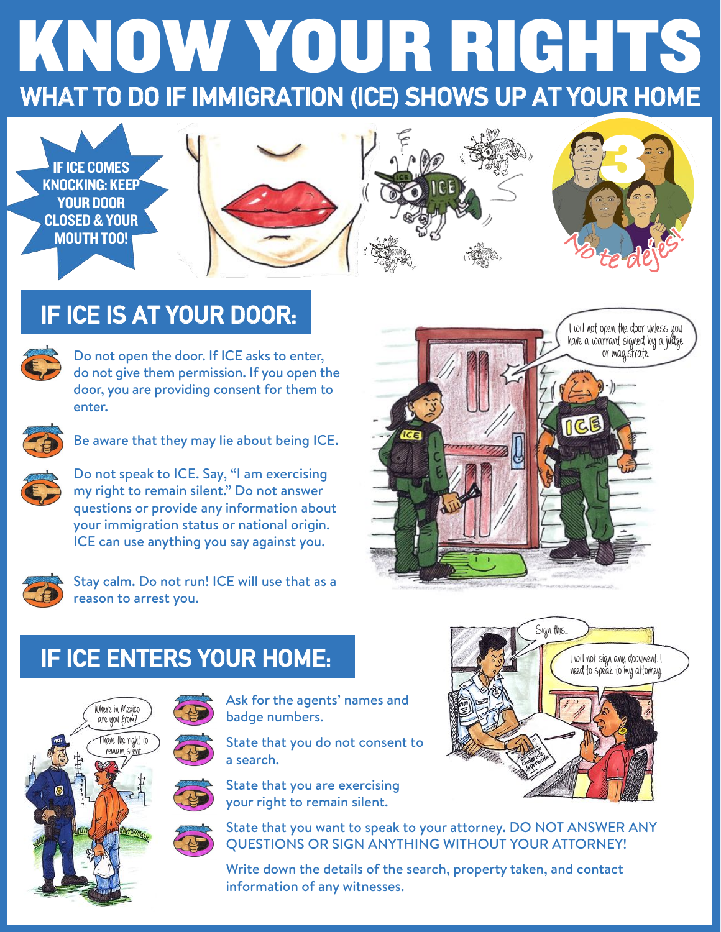# WHAT TO DO IF IMMIGRATION (ICE) SHOWS UP AT YOUR HOME KNOW YOUR RIGHTS



## IF ICE IS AT YOUR DOOR:



Do not open the door. If ICE asks to enter, do not give them permission. If you open the door, you are providing consent for them to enter.



Be aware that they may lie about being ICE.



Do not speak to ICE. Say, "I am exercising my right to remain silent." Do not answer questions or provide any information about your immigration status or national origin. ICE can use anything you say against you.



Stay calm. Do not run! ICE will use that as a reason to arrest you.



**Sign this..**

**I wil not sign any document. I need to speak to my attorney.**

## IF ICE ENTERS YOUR HOME:





Ask for the agents' names and badge numbers.

State that you do not consent to a search.



State that you are exercising your right to remain silent.



State that you want to speak to your attorney. DO NOT ANSWER ANY QUESTIONS OR SIGN ANYTHING WITHOUT YOUR ATTORNEY!

Write down the details of the search, property taken, and contact information of any witnesses.